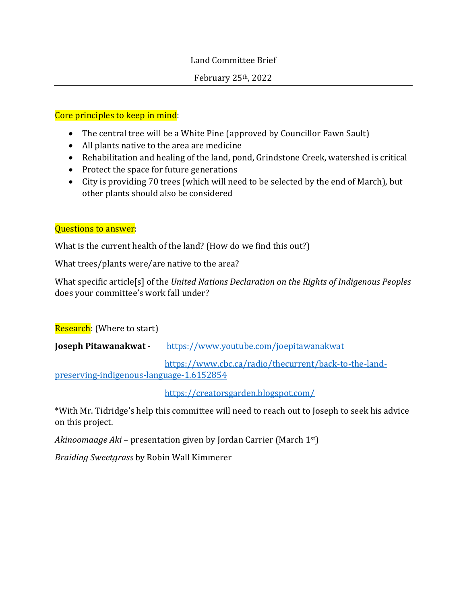# Land Committee Brief

### February 25th, 2022

# Core principles to keep in mind:

- The central tree will be a White Pine (approved by Councillor Fawn Sault)
- All plants native to the area are medicine
- Rehabilitation and healing of the land, pond, Grindstone Creek, watershed is critical
- Protect the space for future generations
- City is providing 70 trees (which will need to be selected by the end of March), but other plants should also be considered

# Questions to answer:

What is the current health of the land? (How do we find this out?)

What trees/plants were/are native to the area?

What specific article[s] of the *United Nations Declaration on the Rights of Indigenous Peoples* does your committee's work fall under?

Research: (Where to start)

**Joseph Pitawanakwat** - <https://www.youtube.com/joepitawanakwat>

[https://www.cbc.ca/radio/thecurrent/back-to-the-land](https://www.cbc.ca/radio/thecurrent/back-to-the-land-preserving-indigenous-language-1.6152854)[preserving-indigenous-language-1.6152854](https://www.cbc.ca/radio/thecurrent/back-to-the-land-preserving-indigenous-language-1.6152854)

<https://creatorsgarden.blogspot.com/>

\*With Mr. Tidridge's help this committee will need to reach out to Joseph to seek his advice on this project.

*Akinoomaage Aki* – presentation given by Jordan Carrier (March 1st)

*Braiding Sweetgrass* by Robin Wall Kimmerer